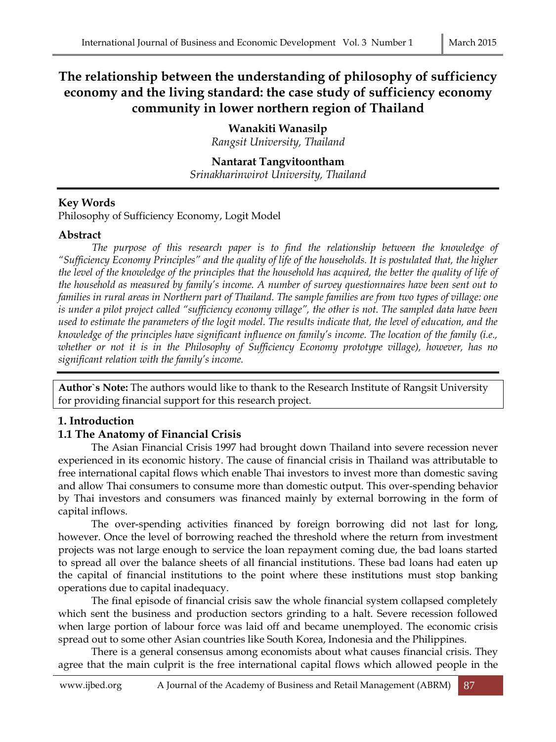# **The relationship between the understanding of philosophy of sufficiency economy and the living standard: the case study of sufficiency economy community in lower northern region of Thailand**

**Wanakiti Wanasilp** *Rangsit University, Thailand*

**Nantarat Tangvitoontham** *Srinakharinwirot University, Thailand*

## **Key Words**

Philosophy of Sufficiency Economy, Logit Model

## **Abstract**

The purpose of this research paper is to find the relationship between the knowledge of *"Sufficiency Economy Principles" and the quality of life of the households. It is postulated that, the higher the level of the knowledge of the principles that the household has acquired, the better the quality of life of the household as measured by family's income. A number of survey questionnaires have been sent out to families in rural areas in Northern part of Thailand. The sample families are from two types of village: one is under a pilot project called "sufficiency economy village", the other is not. The sampled data have been used to estimate the parameters of the logit model. The results indicate that, the level of education, and the knowledge of the principles have significant influence on family's income. The location of the family (i.e., whether or not it is in the Philosophy of Sufficiency Economy prototype village), however, has no significant relation with the family's income.* 

**Author`s Note:** The authors would like to thank to the Research Institute of Rangsit University for providing financial support for this research project.

## **1. Introduction**

## **1.1 The Anatomy of Financial Crisis**

The Asian Financial Crisis 1997 had brought down Thailand into severe recession never experienced in its economic history. The cause of financial crisis in Thailand was attributable to free international capital flows which enable Thai investors to invest more than domestic saving and allow Thai consumers to consume more than domestic output. This over-spending behavior by Thai investors and consumers was financed mainly by external borrowing in the form of capital inflows.

The over-spending activities financed by foreign borrowing did not last for long, however. Once the level of borrowing reached the threshold where the return from investment projects was not large enough to service the loan repayment coming due, the bad loans started to spread all over the balance sheets of all financial institutions. These bad loans had eaten up the capital of financial institutions to the point where these institutions must stop banking operations due to capital inadequacy.

The final episode of financial crisis saw the whole financial system collapsed completely which sent the business and production sectors grinding to a halt. Severe recession followed when large portion of labour force was laid off and became unemployed. The economic crisis spread out to some other Asian countries like South Korea, Indonesia and the Philippines.

There is a general consensus among economists about what causes financial crisis. They agree that the main culprit is the free international capital flows which allowed people in the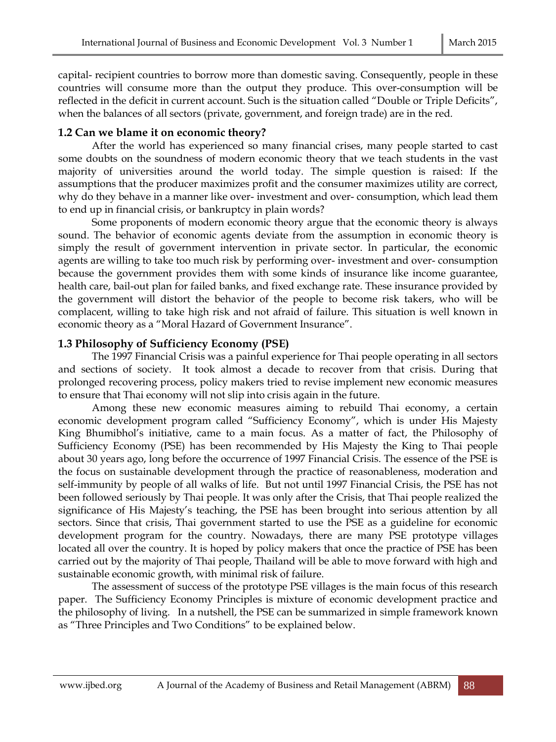capital- recipient countries to borrow more than domestic saving. Consequently, people in these countries will consume more than the output they produce. This over-consumption will be reflected in the deficit in current account. Such is the situation called "Double or Triple Deficits", when the balances of all sectors (private, government, and foreign trade) are in the red.

## **1.2 Can we blame it on economic theory?**

After the world has experienced so many financial crises, many people started to cast some doubts on the soundness of modern economic theory that we teach students in the vast majority of universities around the world today. The simple question is raised: If the assumptions that the producer maximizes profit and the consumer maximizes utility are correct, why do they behave in a manner like over- investment and over- consumption, which lead them to end up in financial crisis, or bankruptcy in plain words?

Some proponents of modern economic theory argue that the economic theory is always sound. The behavior of economic agents deviate from the assumption in economic theory is simply the result of government intervention in private sector. In particular, the economic agents are willing to take too much risk by performing over- investment and over- consumption because the government provides them with some kinds of insurance like income guarantee, health care, bail-out plan for failed banks, and fixed exchange rate. These insurance provided by the government will distort the behavior of the people to become risk takers, who will be complacent, willing to take high risk and not afraid of failure. This situation is well known in economic theory as a "Moral Hazard of Government Insurance".

## **1.3 Philosophy of Sufficiency Economy (PSE)**

The 1997 Financial Crisis was a painful experience for Thai people operating in all sectors and sections of society. It took almost a decade to recover from that crisis. During that prolonged recovering process, policy makers tried to revise implement new economic measures to ensure that Thai economy will not slip into crisis again in the future.

Among these new economic measures aiming to rebuild Thai economy, a certain economic development program called "Sufficiency Economy", which is under His Majesty King Bhumibhol's initiative, came to a main focus. As a matter of fact, the Philosophy of Sufficiency Economy (PSE) has been recommended by His Majesty the King to Thai people about 30 years ago, long before the occurrence of 1997 Financial Crisis. The essence of the PSE is the focus on sustainable development through the practice of reasonableness, moderation and self-immunity by people of all walks of life. But not until 1997 Financial Crisis, the PSE has not been followed seriously by Thai people. It was only after the Crisis, that Thai people realized the significance of His Majesty's teaching, the PSE has been brought into serious attention by all sectors. Since that crisis, Thai government started to use the PSE as a guideline for economic development program for the country. Nowadays, there are many PSE prototype villages located all over the country. It is hoped by policy makers that once the practice of PSE has been carried out by the majority of Thai people, Thailand will be able to move forward with high and sustainable economic growth, with minimal risk of failure.

The assessment of success of the prototype PSE villages is the main focus of this research paper. The Sufficiency Economy Principles is mixture of economic development practice and the philosophy of living. In a nutshell, the PSE can be summarized in simple framework known as "Three Principles and Two Conditions" to be explained below.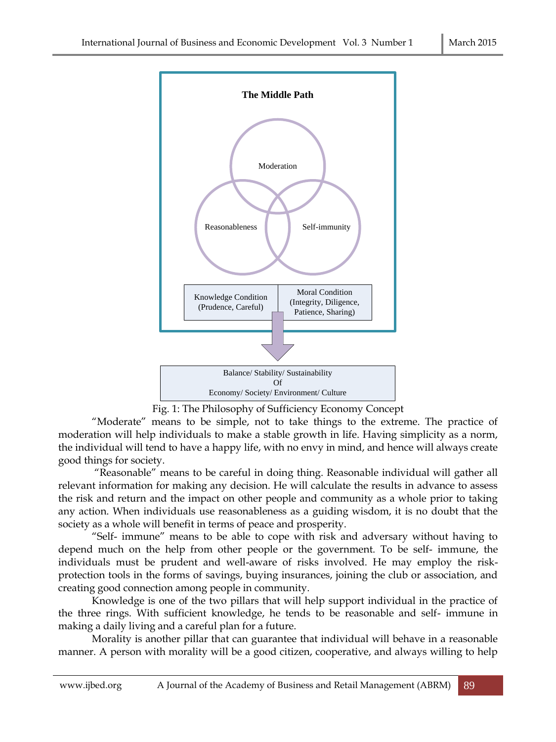

Fig. 1: The Philosophy of Sufficiency Economy Concept

"Moderate" means to be simple, not to take things to the extreme. The practice of moderation will help individuals to make a stable growth in life. Having simplicity as a norm, the individual will tend to have a happy life, with no envy in mind, and hence will always create good things for society.

"Reasonable" means to be careful in doing thing. Reasonable individual will gather all relevant information for making any decision. He will calculate the results in advance to assess the risk and return and the impact on other people and community as a whole prior to taking any action. When individuals use reasonableness as a guiding wisdom, it is no doubt that the society as a whole will benefit in terms of peace and prosperity.

"Self- immune" means to be able to cope with risk and adversary without having to depend much on the help from other people or the government. To be self- immune, the individuals must be prudent and well-aware of risks involved. He may employ the riskprotection tools in the forms of savings, buying insurances, joining the club or association, and creating good connection among people in community.

Knowledge is one of the two pillars that will help support individual in the practice of the three rings. With sufficient knowledge, he tends to be reasonable and self- immune in making a daily living and a careful plan for a future.

Morality is another pillar that can guarantee that individual will behave in a reasonable manner. A person with morality will be a good citizen, cooperative, and always willing to help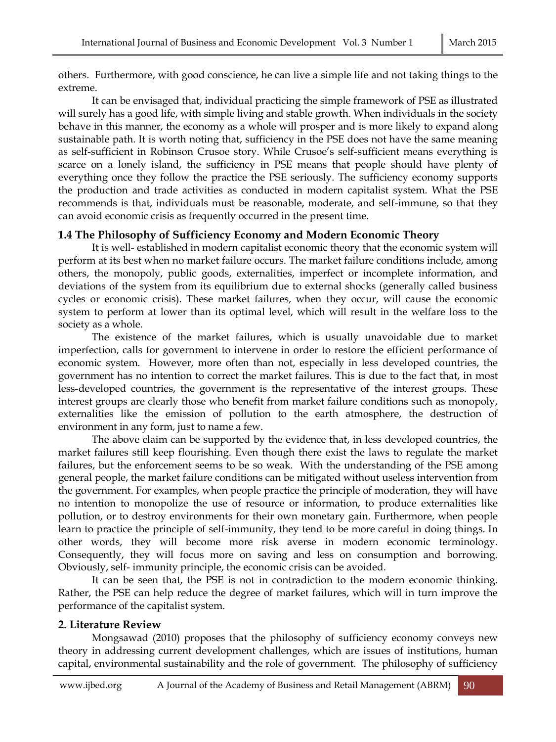others. Furthermore, with good conscience, he can live a simple life and not taking things to the extreme.

It can be envisaged that, individual practicing the simple framework of PSE as illustrated will surely has a good life, with simple living and stable growth. When individuals in the society behave in this manner, the economy as a whole will prosper and is more likely to expand along sustainable path. It is worth noting that, sufficiency in the PSE does not have the same meaning as self-sufficient in Robinson Crusoe story. While Crusoe's self-sufficient means everything is scarce on a lonely island, the sufficiency in PSE means that people should have plenty of everything once they follow the practice the PSE seriously. The sufficiency economy supports the production and trade activities as conducted in modern capitalist system. What the PSE recommends is that, individuals must be reasonable, moderate, and self-immune, so that they can avoid economic crisis as frequently occurred in the present time. Ĩ

## **1.4 The Philosophy of Sufficiency Economy and Modern Economic Theory**

It is well- established in modern capitalist economic theory that the economic system will perform at its best when no market failure occurs. The market failure conditions include, among others, the monopoly, public goods, externalities, imperfect or incomplete information, and deviations of the system from its equilibrium due to external shocks (generally called business cycles or economic crisis). These market failures, when they occur, will cause the economic system to perform at lower than its optimal level, which will result in the welfare loss to the society as a whole.

The existence of the market failures, which is usually unavoidable due to market imperfection, calls for government to intervene in order to restore the efficient performance of economic system. However, more often than not, especially in less developed countries, the government has no intention to correct the market failures. This is due to the fact that, in most less-developed countries, the government is the representative of the interest groups. These interest groups are clearly those who benefit from market failure conditions such as monopoly, externalities like the emission of pollution to the earth atmosphere, the destruction of environment in any form, just to name a few.

The above claim can be supported by the evidence that, in less developed countries, the market failures still keep flourishing. Even though there exist the laws to regulate the market failures, but the enforcement seems to be so weak. With the understanding of the PSE among general people, the market failure conditions can be mitigated without useless intervention from the government. For examples, when people practice the principle of moderation, they will have no intention to monopolize the use of resource or information, to produce externalities like pollution, or to destroy environments for their own monetary gain. Furthermore, when people learn to practice the principle of self-immunity, they tend to be more careful in doing things. In other words, they will become more risk averse in modern economic terminology. Consequently, they will focus more on saving and less on consumption and borrowing. Obviously, self- immunity principle, the economic crisis can be avoided.

It can be seen that, the PSE is not in contradiction to the modern economic thinking. Rather, the PSE can help reduce the degree of market failures, which will in turn improve the performance of the capitalist system.

## **2. Literature Review**

Mongsawad (2010) proposes that the philosophy of sufficiency economy conveys new theory in addressing current development challenges, which are issues of institutions, human capital, environmental sustainability and the role of government. The philosophy of sufficiency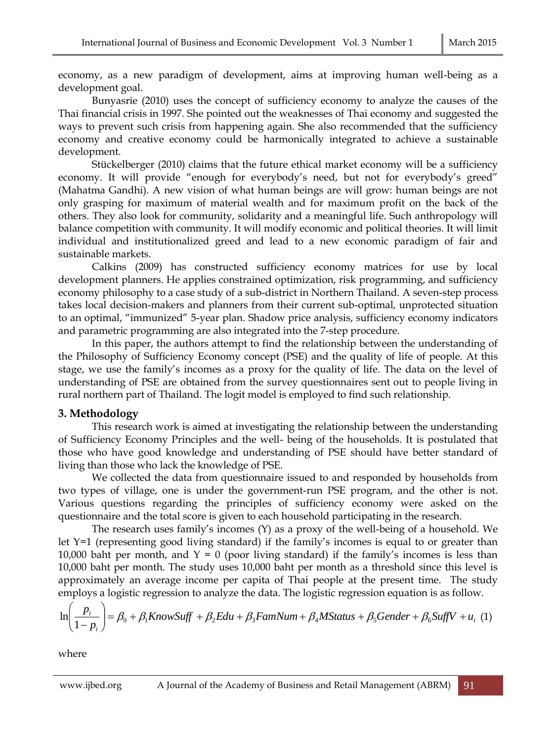economy, as a new paradigm of development, aims at improving human well-being as a development goal.

Bunyasrie (2010) uses the concept of sufficiency economy to analyze the causes of the Thai financial crisis in 1997. She pointed out the weaknesses of Thai economy and suggested the ways to prevent such crisis from happening again. She also recommended that the sufficiency economy and creative economy could be harmonically integrated to achieve a sustainable development.

Stückelberger (2010) claims that the future ethical market economy will be a sufficiency economy. It will provide "enough for everybody's need, but not for everybody's greed" (Mahatma Gandhi). A new vision of what human beings are will grow: human beings are not only grasping for maximum of material wealth and for maximum profit on the back of the others. They also look for community, solidarity and a meaningful life. Such anthropology will balance competition with community. It will modify economic and political theories. It will limit individual and institutionalized greed and lead to a new economic paradigm of fair and sustainable markets.

Calkins (2009) has constructed sufficiency economy matrices for use by local development planners. He applies constrained optimization, risk programming, and sufficiency economy philosophy to a case study of a sub-district in Northern Thailand. A seven-step process takes local decision-makers and planners from their current sub-optimal, unprotected situation to an optimal, "immunized" 5-year plan. Shadow price analysis, sufficiency economy indicators and parametric programming are also integrated into the 7-step procedure.

In this paper, the authors attempt to find the relationship between the understanding of the Philosophy of Sufficiency Economy concept (PSE) and the quality of life of people. At this stage, we use the family's incomes as a proxy for the quality of life. The data on the level of understanding of PSE are obtained from the survey questionnaires sent out to people living in rural northern part of Thailand. The logit model is employed to find such relationship.

## **3. Methodology**

This research work is aimed at investigating the relationship between the understanding of Sufficiency Economy Principles and the well- being of the households. It is postulated that those who have good knowledge and understanding of PSE should have better standard of living than those who lack the knowledge of PSE.

We collected the data from questionnaire issued to and responded by households from two types of village, one is under the government-run PSE program, and the other is not. Various questions regarding the principles of sufficiency economy were asked on the questionnaire and the total score is given to each household participating in the research.

The research uses family's incomes (Y) as a proxy of the well-being of a household. We let Y=1 (representing good living standard) if the family's incomes is equal to or greater than 10,000 baht per month, and  $Y = 0$  (poor living standard) if the family's incomes is less than 10,000 baht per month. The study uses 10,000 baht per month as a threshold since this level is approximately an average income per capita of Thai people at the present time. The study employs a logistic regression to analyze the data. The logistic regression equation is as follow.

$$
\ln\left(\frac{p_i}{1-p_i}\right) = \beta_0 + \beta_1 KnowSuff + \beta_2 Edu + \beta_3 FamNum + \beta_4 MStatus + \beta_5 Gender + \beta_6 SuffV + u_i \tag{1}
$$

where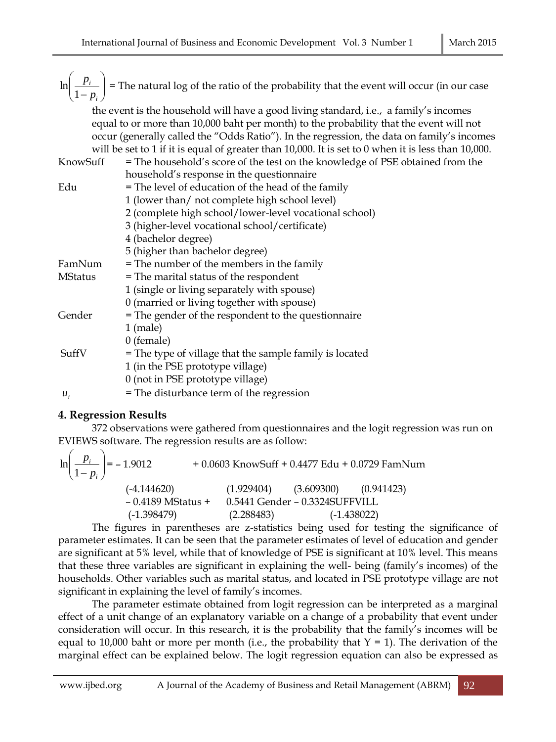$\overline{\phantom{a}}$ J  $\setminus$  $\overline{\phantom{a}}$  $\setminus$ ſ  $-p_i$ *i p p* 1  $\ln\left|\frac{P_i}{I}\right|$  = The natural log of the ratio of the probability that the event will occur (in our case the event is the household will have a good living standard, i.e., a family's incomes equal to or more than 10,000 baht per month) to the probability that the event will not occur (generally called the "Odds Ratio"). In the regression, the data on family's incomes will be set to 1 if it is equal of greater than 10,000. It is set to 0 when it is less than 10,000. KnowSuff = The household's score of the test on the knowledge of PSE obtained from the household's response in the questionnaire Edu  $=$  The level of education of the head of the family 1 (lower than/ not complete high school level) 2 (complete high school/lower-level vocational school) 3 (higher-level vocational school/certificate) 4 (bachelor degree) 5 (higher than bachelor degree) FamNum = The number of the members in the family MStatus = The marital status of the respondent 1 (single or living separately with spouse) 0 (married or living together with spouse) Gender = The gender of the respondent to the questionnaire 1 (male) 0 (female)  $SuffV = The type of village that the sample family is located$ 1 (in the PSE prototype village) 0 (not in PSE prototype village)  $u_i$ = The disturbance term of the regression

## **4. Regression Results**

372 observations were gathered from questionnaires and the logit regression was run on EVIEWS software. The regression results are as follow:

$$
\ln\left(\frac{p_i}{1-p_i}\right) = -1.9012 + 0.0603 \text{ KnowSuff} + 0.4477 \text{ Edu} + 0.0729 \text{ FamNum}
$$
\n
$$
(-4.144620) \qquad (1.929404) \qquad (3.609300) \qquad (0.941423)
$$
\n
$$
-0.4189 \text{ MStatus} + 0.5441 \text{ Gender} - 0.3324 \text{SUPFVILL}
$$
\n
$$
(-1.398479) \qquad (2.288483) \qquad (-1.438022)
$$

The figures in parentheses are z-statistics being used for testing the significance of parameter estimates. It can be seen that the parameter estimates of level of education and gender are significant at 5% level, while that of knowledge of PSE is significant at 10% level. This means that these three variables are significant in explaining the well- being (family's incomes) of the households. Other variables such as marital status, and located in PSE prototype village are not significant in explaining the level of family's incomes.

The parameter estimate obtained from logit regression can be interpreted as a marginal effect of a unit change of an explanatory variable on a change of a probability that event under consideration will occur. In this research, it is the probability that the family's incomes will be equal to 10,000 baht or more per month (i.e., the probability that  $Y = 1$ ). The derivation of the marginal effect can be explained below. The logit regression equation can also be expressed as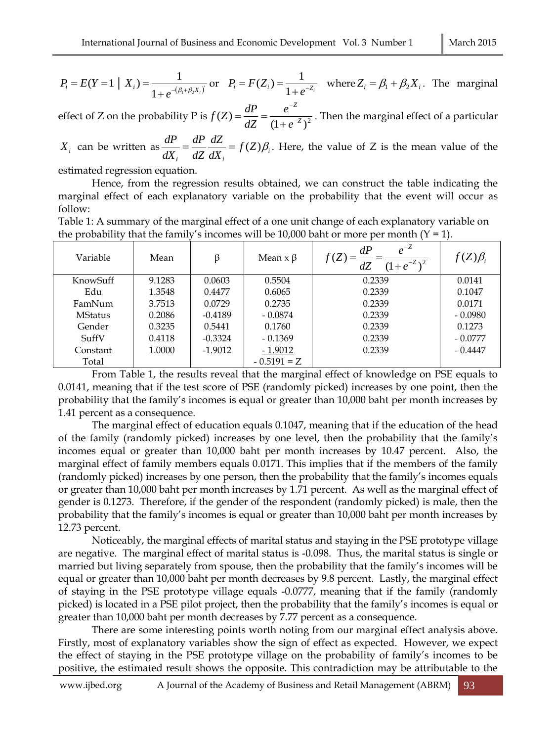$$
P_i = E(Y = 1 | X_i) = \frac{1}{1 + e^{-(\beta_1 + \beta_2 X_i)}} \text{ or } P_i = F(Z_i) = \frac{1}{1 + e^{-Z_i}} \text{ where } Z_i = \beta_1 + \beta_2 X_i. \text{ The marginal}
$$

effect of Z on the probability P is  $f(Z) = \frac{dZ}{dZ} = \frac{1}{(1 + e^{-Z})^2}$  $(Z) = \frac{di}{dZ} = \frac{C}{(1 + e^{-Z})}$ *Z e e*  $f(Z) = \frac{dP}{dZ} = \frac{e^{-Z}}{(1+e^{-Z})}$  $^{+}$  $=\frac{u}{\sqrt{2}}=\frac{v}{(1-\frac{v}{c})^2}$ . Then the marginal effect of a particular

 $X_i$  can be written as  $\frac{di}{dx} = \frac{di}{dx} \frac{dZ}{dx} = f(Z)\beta_i$  $\sum_{i}$   $\sum_{i}$ *f Z dX dZ dZ dP dX*  $\frac{dP}{dx} = \frac{dP}{dx} \frac{dZ}{dx} = f(Z)\beta_i$ . Here, the value of Z is the mean value of the

estimated regression equation.

Hence, from the regression results obtained, we can construct the table indicating the marginal effect of each explanatory variable on the probability that the event will occur as follow:

Table 1: A summary of the marginal effect of a one unit change of each explanatory variable on the probability that the family's incomes will be 10,000 baht or more per month  $(Y = 1)$ .

| Variable       | Mean   | ß         | Mean $x \beta$ | $e^{-Z}$<br>dP<br>f(Z)<br>$(1+e^{-Z})^2$ | $f(Z)\beta_i$ |
|----------------|--------|-----------|----------------|------------------------------------------|---------------|
| KnowSuff       | 9.1283 | 0.0603    | 0.5504         | 0.2339                                   | 0.0141        |
| Edu            | 1.3548 | 0.4477    | 0.6065         | 0.2339                                   | 0.1047        |
| FamNum         | 3.7513 | 0.0729    | 0.2735         | 0.2339                                   | 0.0171        |
| <b>MStatus</b> | 0.2086 | $-0.4189$ | $-0.0874$      | 0.2339                                   | $-0.0980$     |
| Gender         | 0.3235 | 0.5441    | 0.1760         | 0.2339                                   | 0.1273        |
| SuffV          | 0.4118 | $-0.3324$ | $-0.1369$      | 0.2339                                   | $-0.0777$     |
| Constant       | 1.0000 | $-1.9012$ | $-1.9012$      | 0.2339                                   | $-0.4447$     |
| Total          |        |           | $-0.5191 = Z$  |                                          |               |

From Table 1, the results reveal that the marginal effect of knowledge on PSE equals to 0.0141, meaning that if the test score of PSE (randomly picked) increases by one point, then the probability that the family's incomes is equal or greater than 10,000 baht per month increases by 1.41 percent as a consequence.

The marginal effect of education equals 0.1047, meaning that if the education of the head of the family (randomly picked) increases by one level, then the probability that the family's incomes equal or greater than 10,000 baht per month increases by 10.47 percent. Also, the marginal effect of family members equals 0.0171. This implies that if the members of the family (randomly picked) increases by one person, then the probability that the family's incomes equals or greater than 10,000 baht per month increases by 1.71 percent. As well as the marginal effect of gender is 0.1273. Therefore, if the gender of the respondent (randomly picked) is male, then the probability that the family's incomes is equal or greater than 10,000 baht per month increases by 12.73 percent.

Noticeably, the marginal effects of marital status and staying in the PSE prototype village are negative. The marginal effect of marital status is -0.098. Thus, the marital status is single or married but living separately from spouse, then the probability that the family's incomes will be equal or greater than 10,000 baht per month decreases by 9.8 percent. Lastly, the marginal effect of staying in the PSE prototype village equals -0.0777, meaning that if the family (randomly picked) is located in a PSE pilot project, then the probability that the family's incomes is equal or greater than 10,000 baht per month decreases by 7.77 percent as a consequence.

There are some interesting points worth noting from our marginal effect analysis above. Firstly, most of explanatory variables show the sign of effect as expected. However, we expect the effect of staying in the PSE prototype village on the probability of family's incomes to be positive, the estimated result shows the opposite. This contradiction may be attributable to the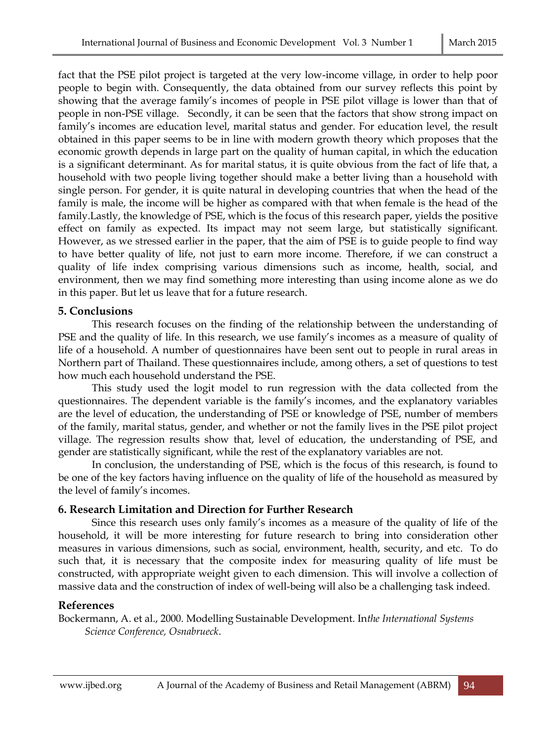fact that the PSE pilot project is targeted at the very low-income village, in order to help poor people to begin with. Consequently, the data obtained from our survey reflects this point by showing that the average family's incomes of people in PSE pilot village is lower than that of people in non-PSE village. Secondly, it can be seen that the factors that show strong impact on family's incomes are education level, marital status and gender. For education level, the result obtained in this paper seems to be in line with modern growth theory which proposes that the economic growth depends in large part on the quality of human capital, in which the education is a significant determinant. As for marital status, it is quite obvious from the fact of life that, a household with two people living together should make a better living than a household with single person. For gender, it is quite natural in developing countries that when the head of the family is male, the income will be higher as compared with that when female is the head of the family.Lastly, the knowledge of PSE, which is the focus of this research paper, yields the positive effect on family as expected. Its impact may not seem large, but statistically significant. However, as we stressed earlier in the paper, that the aim of PSE is to guide people to find way to have better quality of life, not just to earn more income. Therefore, if we can construct a quality of life index comprising various dimensions such as income, health, social, and environment, then we may find something more interesting than using income alone as we do in this paper. But let us leave that for a future research.

#### **5. Conclusions**

This research focuses on the finding of the relationship between the understanding of PSE and the quality of life. In this research, we use family's incomes as a measure of quality of life of a household. A number of questionnaires have been sent out to people in rural areas in Northern part of Thailand. These questionnaires include, among others, a set of questions to test how much each household understand the PSE.

This study used the logit model to run regression with the data collected from the questionnaires. The dependent variable is the family's incomes, and the explanatory variables are the level of education, the understanding of PSE or knowledge of PSE, number of members of the family, marital status, gender, and whether or not the family lives in the PSE pilot project village. The regression results show that, level of education, the understanding of PSE, and gender are statistically significant, while the rest of the explanatory variables are not.

In conclusion, the understanding of PSE, which is the focus of this research, is found to be one of the key factors having influence on the quality of life of the household as measured by the level of family's incomes.

## **6. Research Limitation and Direction for Further Research**

Since this research uses only family's incomes as a measure of the quality of life of the household, it will be more interesting for future research to bring into consideration other measures in various dimensions, such as social, environment, health, security, and etc. To do such that, it is necessary that the composite index for measuring quality of life must be constructed, with appropriate weight given to each dimension. This will involve a collection of massive data and the construction of index of well-being will also be a challenging task indeed.

## **References**

Bockermann, A. et al., 2000. Modelling Sustainable Development. In*the International Systems Science Conference, Osnabrueck*.